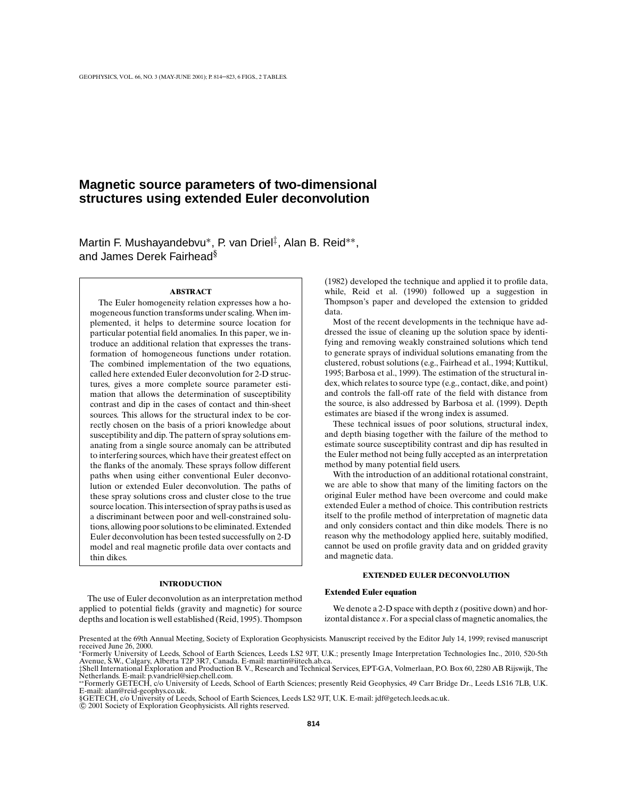# **Magnetic source parameters of two-dimensional structures using extended Euler deconvolution**

Martin F. Mushayandebvu∗, P. van Driel‡, Alan B. Reid∗∗, and James Derek Fairhead§

#### **ABSTRACT**

The Euler homogeneity relation expresses how a homogeneous function transforms under scaling. When implemented, it helps to determine source location for particular potential field anomalies. In this paper, we introduce an additional relation that expresses the transformation of homogeneous functions under rotation. The combined implementation of the two equations, called here extended Euler deconvolution for 2-D structures, gives a more complete source parameter estimation that allows the determination of susceptibility contrast and dip in the cases of contact and thin-sheet sources. This allows for the structural index to be correctly chosen on the basis of a priori knowledge about susceptibility and dip. The pattern of spray solutions emanating from a single source anomaly can be attributed to interfering sources, which have their greatest effect on the flanks of the anomaly. These sprays follow different paths when using either conventional Euler deconvolution or extended Euler deconvolution. The paths of these spray solutions cross and cluster close to the true source location. This intersection of spray paths is used as a discriminant between poor and well-constrained solutions, allowing poor solutions to be eliminated. Extended Euler deconvolution has been tested successfully on 2-D model and real magnetic profile data over contacts and thin dikes.

# **INTRODUCTION**

The use of Euler deconvolution as an interpretation method applied to potential fields (gravity and magnetic) for source depths and location is well established (Reid, 1995). Thompson (1982) developed the technique and applied it to profile data, while, Reid et al. (1990) followed up a suggestion in Thompson's paper and developed the extension to gridded data.

Most of the recent developments in the technique have addressed the issue of cleaning up the solution space by identifying and removing weakly constrained solutions which tend to generate sprays of individual solutions emanating from the clustered, robust solutions (e.g., Fairhead et al., 1994; Kuttikul, 1995; Barbosa et al., 1999). The estimation of the structural index, which relates to source type (e.g., contact, dike, and point) and controls the fall-off rate of the field with distance from the source, is also addressed by Barbosa et al. (1999). Depth estimates are biased if the wrong index is assumed.

These technical issues of poor solutions, structural index, and depth biasing together with the failure of the method to estimate source susceptibility contrast and dip has resulted in the Euler method not being fully accepted as an interpretation method by many potential field users.

With the introduction of an additional rotational constraint, we are able to show that many of the limiting factors on the original Euler method have been overcome and could make extended Euler a method of choice. This contribution restricts itself to the profile method of interpretation of magnetic data and only considers contact and thin dike models. There is no reason why the methodology applied here, suitably modified, cannot be used on profile gravity data and on gridded gravity and magnetic data.

# **EXTENDED EULER DECONVOLUTION**

#### **Extended Euler equation**

We denote a 2-D space with depth *z* (positive down) and horizontal distance *x*. For a special class of magnetic anomalies, the

§GETECH, c/o University of Leeds, School of Earth Sciences, Leeds LS2 9JT, U.K. E-mail: jdf@getech.leeds.ac.uk.

© 2001 Society of Exploration Geophysicists. All rights reserved.

Presented at the 69th Annual Meeting, Society of Exploration Geophysicists. Manuscript received by the Editor July 14, 1999; revised manuscript received June 26, 2000.

<sup>∗</sup>Formerly University of Leeds, School of Earth Sciences, Leeds LS2 9JT, U.K.; presently Image Interpretation Technologies Inc., 2010, 520-5th Avenue, S.W., Calgary, Alberta T2P 3R7, Canada. E-mail: martin@iitech.ab.ca. ‡Shell International Exploration and Production B. V., Research and Technical Services, EPT-GA, Volmerlaan, P.O. Box 60, 2280 AB Rijswijk, The

Netherlands. E-mail: p.vandriel@siep.chell.com. ∗∗Formerly GETECH, c/o University of Leeds, School of Earth Sciences; presently Reid Geophysics, 49 Carr Bridge Dr., Leeds LS16 7LB, U.K. E-mail: alan@reid-geophys.co.uk.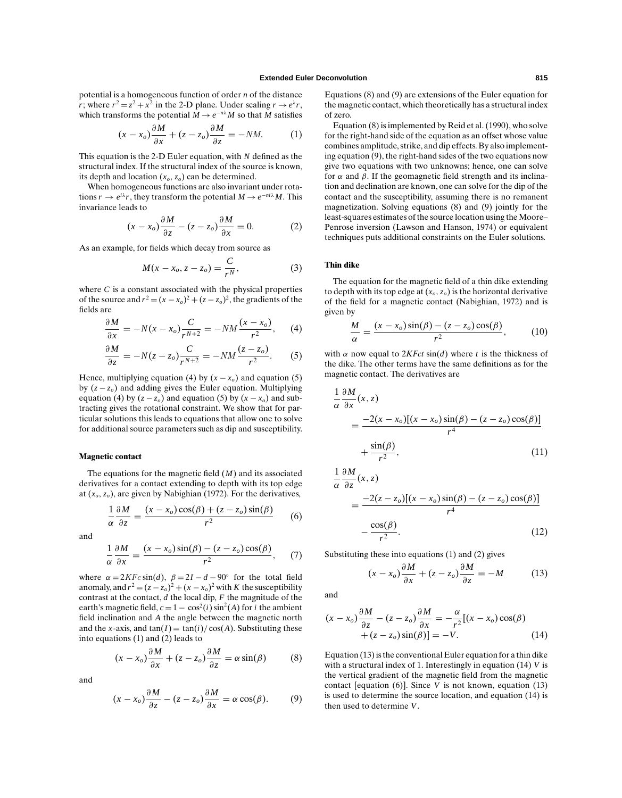potential is a homogeneous function of order *n* of the distance *r*; where  $r^2 = z^2 + x^2$  in the 2-D plane. Under scaling  $r \rightarrow e^{\lambda}r$ , which transforms the potential  $\overline{M} \to e^{-n\lambda} M$  so that  $\overline{M}$  satisfies

$$
(x - x_o)\frac{\partial M}{\partial x} + (z - z_o)\frac{\partial M}{\partial z} = -NM.\tag{1}
$$

This equation is the 2-D Euler equation, with *N* defined as the structural index. If the structural index of the source is known, its depth and location  $(x_o, z_o)$  can be determined.

When homogeneous functions are also invariant under rotations  $r \to e^{i\lambda}r$ , they transform the potential  $M \to e^{-ni\lambda}M$ . This invariance leads to

$$
(x - x_o) \frac{\partial M}{\partial z} - (z - z_o) \frac{\partial M}{\partial x} = 0.
$$
 (2)

As an example, for fields which decay from source as

$$
M(x - x_o, z - z_o) = \frac{C}{r^N},\tag{3}
$$

where *C* is a constant associated with the physical properties of the source and  $r^2 = (x - x_o)^2 + (z - z_o)^2$ , the gradients of the fields are

$$
\frac{\partial M}{\partial x} = -N(x - x_o) \frac{C}{r^{N+2}} = -NM \frac{(x - x_o)}{r^2}, \quad (4)
$$

$$
\frac{\partial M}{\partial z} = -N(z - z_o) \frac{C}{r^{N+2}} = -NM \frac{(z - z_o)}{r^2}.
$$
 (5)

Hence, multiplying equation (4) by  $(x - x<sub>o</sub>)$  and equation (5) by (*z* − *zo*) and adding gives the Euler equation. Multiplying equation (4) by  $(z - z_o)$  and equation (5) by  $(x - x_o)$  and subtracting gives the rotational constraint. We show that for particular solutions this leads to equations that allow one to solve for additional source parameters such as dip and susceptibility.

#### **Magnetic contact**

The equations for the magnetic field (*M*) and its associated derivatives for a contact extending to depth with its top edge at (*xo*, *zo*), are given by Nabighian (1972). For the derivatives,

$$
\frac{1}{\alpha} \frac{\partial M}{\partial z} = \frac{(x - x_o)\cos(\beta) + (z - z_o)\sin(\beta)}{r^2}
$$
 (6)

and

$$
\frac{1}{\alpha} \frac{\partial M}{\partial x} = \frac{(x - x_o) \sin(\beta) - (z - z_o) \cos(\beta)}{r^2},\qquad(7)
$$

where  $\alpha = 2KFc \sin(d)$ ,  $\beta = 2I - d - 90°$  for the total field anomaly, and  $r^2 = (z - z_o)^2 + (x - x_o)^2$  with *K* the susceptibility contrast at the contact, *d* the local dip, *F* the magnitude of the earth's magnetic field,  $c = 1 - \cos^2(i) \sin^2(A)$  for *i* the ambient field inclination and *A* the angle between the magnetic north and the *x*-axis, and  $tan(I) = tan(i)/cos(A)$ . Substituting these into equations (1) and (2) leads to

$$
(x - x_o) \frac{\partial M}{\partial x} + (z - z_o) \frac{\partial M}{\partial z} = \alpha \sin(\beta) \tag{8}
$$

and

$$
(x - x_o) \frac{\partial M}{\partial z} - (z - z_o) \frac{\partial M}{\partial x} = \alpha \cos(\beta). \tag{9}
$$

Equations (8) and (9) are extensions of the Euler equation for the magnetic contact, which theoretically has a structural index of zero.

Equation (8) is implemented by Reid et al. (1990), who solve for the right-hand side of the equation as an offset whose value combines amplitude, strike, and dip effects. By also implementing equation (9), the right-hand sides of the two equations now give two equations with two unknowns; hence, one can solve for  $\alpha$  and  $\beta$ . If the geomagnetic field strength and its inclination and declination are known, one can solve for the dip of the contact and the susceptibility, assuming there is no remanent magnetization. Solving equations (8) and (9) jointly for the least-squares estimates of the source location using the Moore– Penrose inversion (Lawson and Hanson, 1974) or equivalent techniques puts additional constraints on the Euler solutions.

## **Thin dike**

The equation for the magnetic field of a thin dike extending to depth with its top edge at  $(x_0, z_0)$  is the horizontal derivative of the field for a magnetic contact (Nabighian, 1972) and is given by

$$
\frac{M}{\alpha} = \frac{(x - x_o)\sin(\beta) - (z - z_o)\cos(\beta)}{r^2},\qquad(10)
$$

with  $\alpha$  now equal to  $2KFct \sin(d)$  where *t* is the thickness of the dike. The other terms have the same definitions as for the magnetic contact. The derivatives are

$$
\frac{1}{\alpha} \frac{\partial M}{\partial x}(x, z)
$$
  
= 
$$
\frac{-2(x - x_o)[(x - x_o)\sin(\beta) - (z - z_o)\cos(\beta)]}{r^4}
$$
  
+ 
$$
\frac{\sin(\beta)}{r^2},
$$
 (11)

$$
\frac{1}{\alpha} \frac{\partial M}{\partial z}(x, z)
$$
  
= 
$$
\frac{-2(z - z_o)[(x - x_o)\sin(\beta) - (z - z_o)\cos(\beta)]}{r^4}
$$
  

$$
-\frac{\cos(\beta)}{r^2}.
$$
 (12)

Substituting these into equations (1) and (2) gives

$$
(x - x_o)\frac{\partial M}{\partial x} + (z - z_o)\frac{\partial M}{\partial z} = -M \tag{13}
$$

and

α

$$
(x - x_o) \frac{\partial M}{\partial z} - (z - z_o) \frac{\partial M}{\partial x} = -\frac{\alpha}{r^2} [(x - x_o) \cos(\beta) + (z - z_o) \sin(\beta)] = -V.
$$
 (14)

Equation (13) is the conventional Euler equation for a thin dike with a structural index of 1. Interestingly in equation (14) *V* is the vertical gradient of the magnetic field from the magnetic contact [equation (6)]. Since *V* is not known, equation (13) is used to determine the source location, and equation (14) is then used to determine *V*.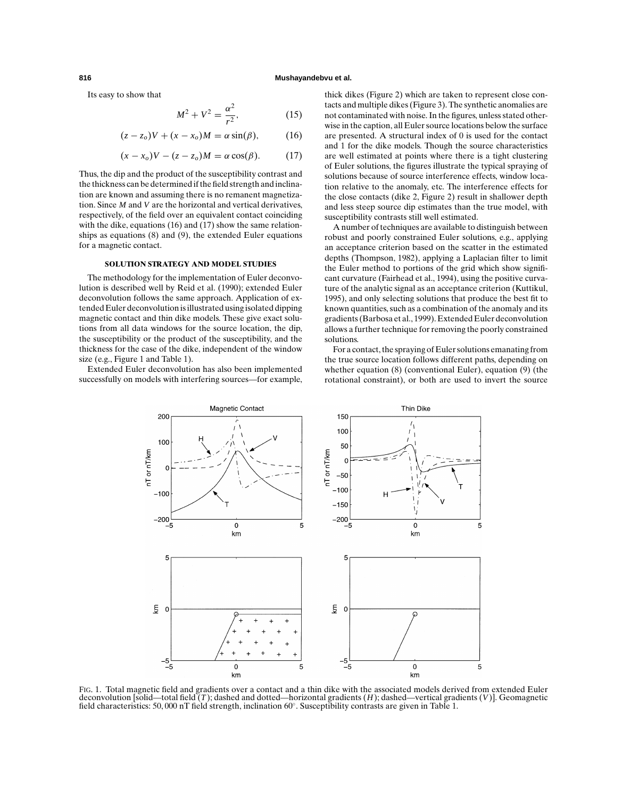## **816 Mushayandebvu et al.**

Its easy to show that

$$
M^2 + V^2 = \frac{\alpha^2}{r^2},
$$
 (15)

$$
(z-zo)V + (x-xo)M = \alpha \sin(\beta),
$$
 (16)

$$
(x - xo)V - (z - zo)M = \alpha \cos(\beta).
$$
 (17)

Thus, the dip and the product of the susceptibility contrast and the thickness can be determined if the field strength and inclination are known and assuming there is no remanent magnetization. Since *M* and *V* are the horizontal and vertical derivatives, respectively, of the field over an equivalent contact coinciding with the dike, equations (16) and (17) show the same relationships as equations (8) and (9), the extended Euler equations for a magnetic contact.

## **SOLUTION STRATEGY AND MODEL STUDIES**

The methodology for the implementation of Euler deconvolution is described well by Reid et al. (1990); extended Euler deconvolution follows the same approach. Application of extended Euler deconvolution is illustrated using isolated dipping magnetic contact and thin dike models. These give exact solutions from all data windows for the source location, the dip, the susceptibility or the product of the susceptibility, and the thickness for the case of the dike, independent of the window size (e.g., Figure 1 and Table 1).

Extended Euler deconvolution has also been implemented successfully on models with interfering sources—for example, thick dikes (Figure 2) which are taken to represent close contacts and multiple dikes (Figure 3). The synthetic anomalies are not contaminated with noise. In the figures, unless stated otherwise in the caption, all Euler source locations below the surface are presented. A structural index of 0 is used for the contact and 1 for the dike models. Though the source characteristics are well estimated at points where there is a tight clustering of Euler solutions, the figures illustrate the typical spraying of solutions because of source interference effects, window location relative to the anomaly, etc. The interference effects for the close contacts (dike 2, Figure 2) result in shallower depth and less steep source dip estimates than the true model, with susceptibility contrasts still well estimated.

A number of techniques are available to distinguish between robust and poorly constrained Euler solutions, e.g., applying an acceptance criterion based on the scatter in the estimated depths (Thompson, 1982), applying a Laplacian filter to limit the Euler method to portions of the grid which show significant curvature (Fairhead et al., 1994), using the positive curvature of the analytic signal as an acceptance criterion (Kuttikul, 1995), and only selecting solutions that produce the best fit to known quantities, such as a combination of the anomaly and its gradients (Barbosa et al., 1999). Extended Euler deconvolution allows a further technique for removing the poorly constrained solutions.

For a contact, the spraying of Euler solutions emanating from the true source location follows different paths, depending on whether equation (8) (conventional Euler), equation (9) (the rotational constraint), or both are used to invert the source



FIG. 1. Total magnetic field and gradients over a contact and a thin dike with the associated models derived from extended Euler deconvolution [solid—total field (*T* ); dashed and dotted—horizontal gradients (*H*); dashed—vertical gradients (*V*)]. Geomagnetic field characteristics: 50, 000 nT field strength, inclination 60◦. Susceptibility contrasts are given in Table 1.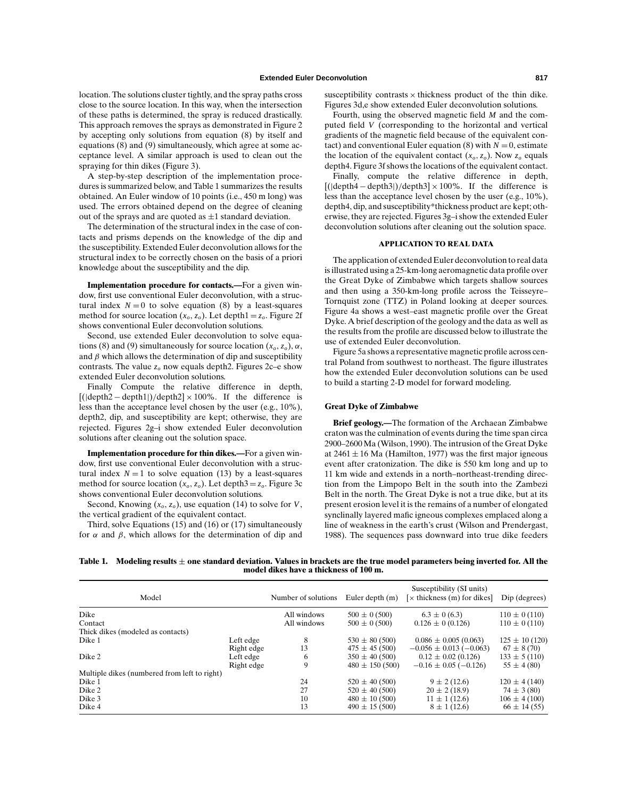location. The solutions cluster tightly, and the spray paths cross close to the source location. In this way, when the intersection of these paths is determined, the spray is reduced drastically. This approach removes the sprays as demonstrated in Figure 2 by accepting only solutions from equation (8) by itself and equations (8) and (9) simultaneously, which agree at some acceptance level. A similar approach is used to clean out the spraying for thin dikes (Figure 3).

A step-by-step description of the implementation procedures is summarized below, and Table 1 summarizes the results obtained. An Euler window of 10 points (i.e., 450 m long) was used. The errors obtained depend on the degree of cleaning out of the sprays and are quoted as  $\pm 1$  standard deviation.

The determination of the structural index in the case of contacts and prisms depends on the knowledge of the dip and the susceptibility. Extended Euler deconvolution allows for the structural index to be correctly chosen on the basis of a priori knowledge about the susceptibility and the dip.

**Implementation procedure for contacts.—**For a given window, first use conventional Euler deconvolution, with a structural index  $N = 0$  to solve equation (8) by a least-squares method for source location  $(x_0, z_0)$ . Let depth $1 = z_0$ . Figure 2f shows conventional Euler deconvolution solutions.

Second, use extended Euler deconvolution to solve equations (8) and (9) simultaneously for source location  $(x_0, z_0)$ ,  $\alpha$ , and  $\beta$  which allows the determination of dip and susceptibility contrasts. The value  $z<sub>o</sub>$  now equals depth2. Figures 2c–e show extended Euler deconvolution solutions.

Finally Compute the relative difference in depth,  $[(\text{depth2} - \text{depth1}))/\text{depth2}] \times 100\%$ . If the difference is less than the acceptance level chosen by the user (e.g., 10%), depth2, dip, and susceptibility are kept; otherwise, they are rejected. Figures 2g–i show extended Euler deconvolution solutions after cleaning out the solution space.

**Implementation procedure for thin dikes.—**For a given window, first use conventional Euler deconvolution with a structural index  $N = 1$  to solve equation (13) by a least-squares method for source location  $(x_o, z_o)$ . Let depth $3 = z_o$ . Figure 3c shows conventional Euler deconvolution solutions.

Second, Knowing  $(x_o, z_o)$ , use equation (14) to solve for *V*, the vertical gradient of the equivalent contact.

Third, solve Equations (15) and (16) or (17) simultaneously for  $\alpha$  and  $\beta$ , which allows for the determination of dip and susceptibility contrasts  $\times$  thickness product of the thin dike. Figures 3d,e show extended Euler deconvolution solutions.

Fourth, using the observed magnetic field *M* and the computed field *V* (corresponding to the horizontal and vertical gradients of the magnetic field because of the equivalent contact) and conventional Euler equation (8) with  $N = 0$ , estimate the location of the equivalent contact  $(x_0, z_0)$ . Now  $z_0$  equals depth4. Figure 3f shows the locations of the equivalent contact.

Finally, compute the relative difference in depth,  $[(\text{depth4} - \text{depth3}))/\text{depth3}] \times 100\%$ . If the difference is less than the acceptance level chosen by the user (e.g., 10%), depth4, dip, and susceptibility\*thickness product are kept; otherwise, they are rejected. Figures 3g–i show the extended Euler deconvolution solutions after cleaning out the solution space.

#### **APPLICATION TO REAL DATA**

The application of extended Euler deconvolution to real data is illustrated using a 25-km-long aeromagnetic data profile over the Great Dyke of Zimbabwe which targets shallow sources and then using a 350-km-long profile across the Teisseyre– Tornquist zone (TTZ) in Poland looking at deeper sources. Figure 4a shows a west–east magnetic profile over the Great Dyke. A brief description of the geology and the data as well as the results from the profile are discussed below to illustrate the use of extended Euler deconvolution.

Figure 5a shows a representative magnetic profile across central Poland from southwest to northeast. The figure illustrates how the extended Euler deconvolution solutions can be used to build a starting 2-D model for forward modeling.

# **Great Dyke of Zimbabwe**

**Brief geology.—**The formation of the Archaean Zimbabwe craton was the culmination of events during the time span circa 2900–2600 Ma (Wilson, 1990). The intrusion of the Great Dyke at  $2461 \pm 16$  Ma (Hamilton, 1977) was the first major igneous event after cratonization. The dike is 550 km long and up to 11 km wide and extends in a north–northeast-trending direction from the Limpopo Belt in the south into the Zambezi Belt in the north. The Great Dyke is not a true dike, but at its present erosion level it is the remains of a number of elongated synclinally layered mafic igneous complexes emplaced along a line of weakness in the earth's crust (Wilson and Prendergast, 1988). The sequences pass downward into true dike feeders

**Table 1. Modeling results** *±* **one standard deviation. Values in brackets are the true model parameters being inverted for. All the model dikes have a thickness of 100 m.**

| Model                                        |            | Number of solutions | Euler depth $(m)$  | Susceptibility (SI units)<br>[ $\times$ thickness (m) for dikes] | Dip (degrees)     |
|----------------------------------------------|------------|---------------------|--------------------|------------------------------------------------------------------|-------------------|
| Dike                                         |            | All windows         | $500 \pm 0$ (500)  | $6.3 \pm 0$ (6.3)                                                | $110 \pm 0$ (110) |
| Contact                                      |            | All windows         | $500 \pm 0$ (500)  | $0.126 \pm 0$ (0.126)                                            | $110 \pm 0$ (110) |
| Thick dikes (modeled as contacts)            |            |                     |                    |                                                                  |                   |
| Dike 1                                       | Left edge  | 8                   | $530 \pm 80 (500)$ | $0.086 \pm 0.005(0.063)$                                         | $125 \pm 10(120)$ |
|                                              | Right edge | 13                  | $475 \pm 45(500)$  | $-0.056 \pm 0.013 (-0.063)$                                      | $67 \pm 8(70)$    |
| Dike 2                                       | Left edge  | 6                   | $350 \pm 40 (500)$ | $0.12 \pm 0.02$ (0.126)                                          | $133 \pm 5(110)$  |
|                                              | Right edge | 9                   | $480 \pm 150(500)$ | $-0.16 \pm 0.05$ ( $-0.126$ )                                    | $55 \pm 4(80)$    |
| Multiple dikes (numbered from left to right) |            |                     |                    |                                                                  |                   |
| Dike 1                                       |            | 24                  | $520 \pm 40 (500)$ | $9 \pm 2(12.6)$                                                  | $120 \pm 4(140)$  |
| Dike 2                                       |            | 27                  | $520 \pm 40 (500)$ | $20 \pm 2(18.9)$                                                 | $74 \pm 3(80)$    |
| Dike 3                                       |            | 10                  | $480 \pm 10 (500)$ | $11 \pm 1(12.6)$                                                 | $106 \pm 4(100)$  |
| Dike 4                                       |            | 13                  | $490 \pm 15(500)$  | $8 \pm 1(12.6)$                                                  | $66 \pm 14(55)$   |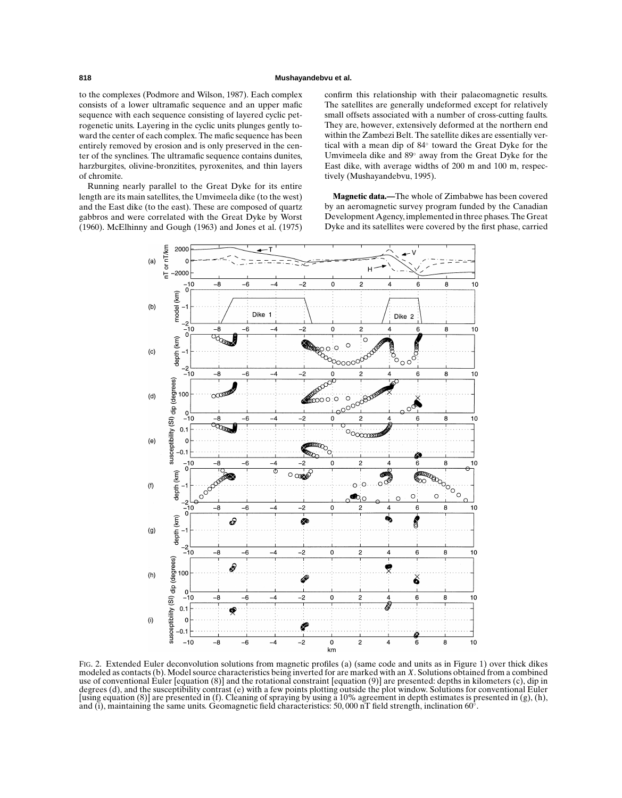to the complexes (Podmore and Wilson, 1987). Each complex consists of a lower ultramafic sequence and an upper mafic sequence with each sequence consisting of layered cyclic petrogenetic units. Layering in the cyclic units plunges gently toward the center of each complex. The mafic sequence has been entirely removed by erosion and is only preserved in the center of the synclines. The ultramafic sequence contains dunites, harzburgites, olivine-bronzitites, pyroxenites, and thin layers of chromite.

Running nearly parallel to the Great Dyke for its entire length are its main satellites, the Umvimeela dike (to the west) and the East dike (to the east). These are composed of quartz gabbros and were correlated with the Great Dyke by Worst (1960). McElhinny and Gough (1963) and Jones et al. (1975) confirm this relationship with their palaeomagnetic results. The satellites are generally undeformed except for relatively small offsets associated with a number of cross-cutting faults. They are, however, extensively deformed at the northern end within the Zambezi Belt. The satellite dikes are essentially vertical with a mean dip of 84◦ toward the Great Dyke for the Umvimeela dike and 89◦ away from the Great Dyke for the East dike, with average widths of 200 m and 100 m, respectively (Mushayandebvu, 1995).

**Magnetic data.—**The whole of Zimbabwe has been covered by an aeromagnetic survey program funded by the Canadian Development Agency, implemented in three phases. The Great Dyke and its satellites were covered by the first phase, carried



FIG. 2. Extended Euler deconvolution solutions from magnetic profiles (a) (same code and units as in Figure 1) over thick dikes modeled as contacts (b). Model source characteristics being inverted for are marked with an *X*. Solutions obtained from a combined use of conventional Euler [equation (8)] and the rotational constraint [equation (9)] are presented: depths in kilometers (c), dip in degrees (d), and the susceptibility contrast (e) with a few points plotting outside the plot window. Solutions for conventional Euler [using equation (8)] are presented in (f). Cleaning of spraying by using a 10% agreement in depth estimates is presented in (g), (h), and (i), maintaining the same units. Geomagnetic field characteristics: 50,000 nT field strength, inclination  $60°$ .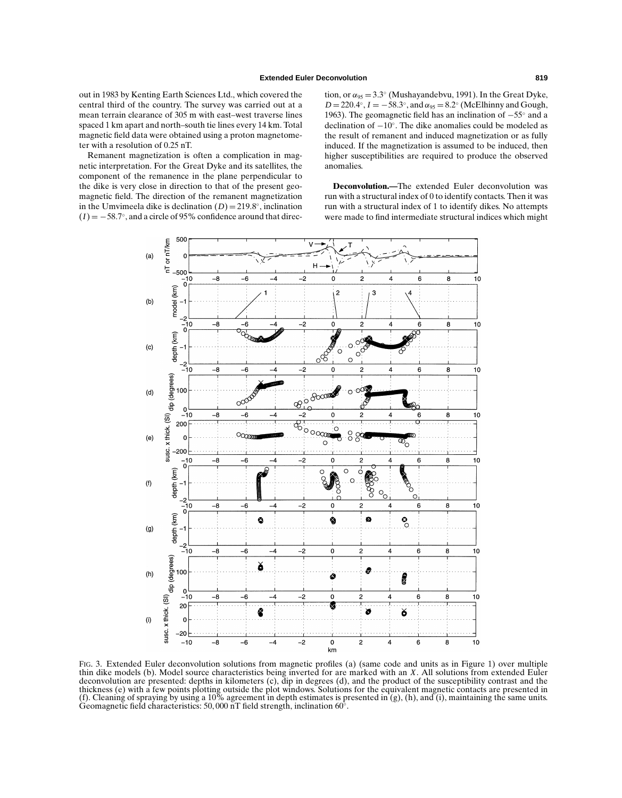out in 1983 by Kenting Earth Sciences Ltd., which covered the central third of the country. The survey was carried out at a mean terrain clearance of 305 m with east–west traverse lines spaced 1 km apart and north–south tie lines every 14 km. Total magnetic field data were obtained using a proton magnetometer with a resolution of 0.25 nT.

Remanent magnetization is often a complication in magnetic interpretation. For the Great Dyke and its satellites, the component of the remanence in the plane perpendicular to the dike is very close in direction to that of the present geomagnetic field. The direction of the remanent magnetization in the Umvimeela dike is declination  $(D) = 219.8^\circ$ , inclination  $(I) = -58.7°$ , and a circle of 95% confidence around that direction, or  $\alpha_{95} = 3.3^{\circ}$  (Mushayandebvu, 1991). In the Great Dyke,  $D = 220.4°$ ,  $I = -58.3°$ , and  $\alpha_{95} = 8.2°$  (McElhinny and Gough, 1963). The geomagnetic field has an inclination of −55◦ and a declination of −10◦. The dike anomalies could be modeled as the result of remanent and induced magnetization or as fully induced. If the magnetization is assumed to be induced, then higher susceptibilities are required to produce the observed anomalies.

**Deconvolution.—**The extended Euler deconvolution was run with a structural index of 0 to identify contacts. Then it was run with a structural index of 1 to identify dikes. No attempts were made to find intermediate structural indices which might



FIG. 3. Extended Euler deconvolution solutions from magnetic profiles (a) (same code and units as in Figure 1) over multiple thin dike models (b). Model source characteristics being inverted for are marked with an *X*. All solutions from extended Euler deconvolution are presented: depths in kilometers (c), dip in degrees (d), and the product of the susceptibility contrast and the thickness (e) with a few points plotting outside the plot windows. Solutions for the equivalent magnetic contacts are presented in (f). Cleaning of spraying by using a 10% agreement in depth estimates is presented in  $(g)$ , (h), and  $(i)$ , maintaining the same units. Geomagnetic field characteristics: 50, 000 nT field strength, inclination 60◦.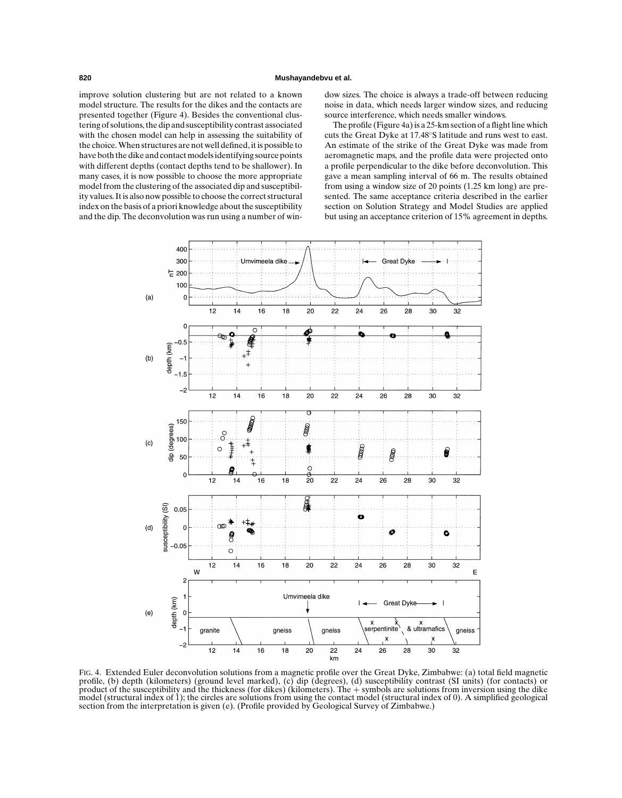improve solution clustering but are not related to a known model structure. The results for the dikes and the contacts are presented together (Figure 4). Besides the conventional clustering of solutions, the dip and susceptibility contrast associated with the chosen model can help in assessing the suitability of the choice. When structures are not well defined, it is possible to have both the dike and contact models identifying source points with different depths (contact depths tend to be shallower). In many cases, it is now possible to choose the more appropriate model from the clustering of the associated dip and susceptibility values. It is also now possible to choose the correct structural index on the basis of a priori knowledge about the susceptibility and the dip. The deconvolution was run using a number of window sizes. The choice is always a trade-off between reducing noise in data, which needs larger window sizes, and reducing source interference, which needs smaller windows.

The profile (Figure 4a) is a 25-km section of a flight line which cuts the Great Dyke at 17.48◦S latitude and runs west to east. An estimate of the strike of the Great Dyke was made from aeromagnetic maps, and the profile data were projected onto a profile perpendicular to the dike before deconvolution. This gave a mean sampling interval of 66 m. The results obtained from using a window size of 20 points (1.25 km long) are presented. The same acceptance criteria described in the earlier section on Solution Strategy and Model Studies are applied but using an acceptance criterion of 15% agreement in depths.



FIG. 4. Extended Euler deconvolution solutions from a magnetic profile over the Great Dyke, Zimbabwe: (a) total field magnetic profile, (b) depth (kilometers) (ground level marked), (c) dip (degrees), (d) susceptibility contrast (SI units) (for contacts) or product of the susceptibility and the thickness (for dikes) (kilometers). The + symbols are solutions from inversion using the dike model (structural index of 1); the circles are solutions from using the contact model (structural index of 0). A simplified geological section from the interpretation is given (e). (Profile provided by Geological Survey of Zimbabwe.)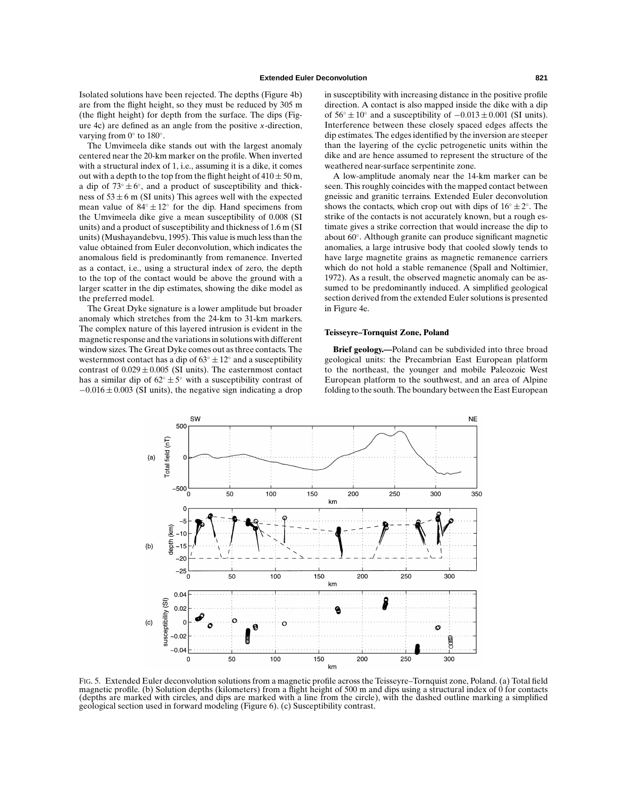Isolated solutions have been rejected. The depths (Figure 4b) are from the flight height, so they must be reduced by 305 m (the flight height) for depth from the surface. The dips (Figure 4c) are defined as an angle from the positive *x*-direction, varying from  $0°$  to  $180°$ .

The Umvimeela dike stands out with the largest anomaly centered near the 20-km marker on the profile. When inverted with a structural index of 1, i.e., assuming it is a dike, it comes out with a depth to the top from the flight height of  $410 \pm 50$  m, a dip of  $73° \pm 6°$ , and a product of susceptibility and thickness of  $53 \pm 6$  m (SI units) This agrees well with the expected mean value of  $84° \pm 12°$  for the dip. Hand specimens from the Umvimeela dike give a mean susceptibility of 0.008 (SI units) and a product of susceptibility and thickness of 1.6 m (SI units) (Mushayandebvu, 1995). This value is much less than the value obtained from Euler deconvolution, which indicates the anomalous field is predominantly from remanence. Inverted as a contact, i.e., using a structural index of zero, the depth to the top of the contact would be above the ground with a larger scatter in the dip estimates, showing the dike model as the preferred model.

The Great Dyke signature is a lower amplitude but broader anomaly which stretches from the 24-km to 31-km markers. The complex nature of this layered intrusion is evident in the magnetic response and the variations in solutions with different window sizes. The Great Dyke comes out as three contacts. The westernmost contact has a dip of  $63^\circ \pm 12^\circ$  and a susceptibility contrast of  $0.029 \pm 0.005$  (SI units). The easternmost contact has a similar dip of  $62^\circ \pm 5^\circ$  with a susceptibility contrast of  $-0.016 \pm 0.003$  (SI units), the negative sign indicating a drop in susceptibility with increasing distance in the positive profile direction. A contact is also mapped inside the dike with a dip of  $56° \pm 10°$  and a susceptibility of  $-0.013 \pm 0.001$  (SI units). Interference between these closely spaced edges affects the dip estimates. The edges identified by the inversion are steeper than the layering of the cyclic petrogenetic units within the dike and are hence assumed to represent the structure of the weathered near-surface serpentinite zone.

A low-amplitude anomaly near the 14-km marker can be seen. This roughly coincides with the mapped contact between gneissic and granitic terrains. Extended Euler deconvolution shows the contacts, which crop out with dips of  $16° \pm 2°$ . The strike of the contacts is not accurately known, but a rough estimate gives a strike correction that would increase the dip to about 60◦. Although granite can produce significant magnetic anomalies, a large intrusive body that cooled slowly tends to have large magnetite grains as magnetic remanence carriers which do not hold a stable remanence (Spall and Noltimier, 1972). As a result, the observed magnetic anomaly can be assumed to be predominantly induced. A simplified geological section derived from the extended Euler solutions is presented in Figure 4e.

#### **Teisseyre–Tornquist Zone, Poland**

**Brief geology.—**Poland can be subdivided into three broad geological units: the Precambrian East European platform to the northeast, the younger and mobile Paleozoic West European platform to the southwest, and an area of Alpine folding to the south. The boundary between the East European



FIG. 5. Extended Euler deconvolution solutions from a magnetic profile across the Teisseyre–Tornquist zone, Poland. (a) Total field magnetic profile. (b) Solution depths (kilometers) from a flight height of 500 m and dips using a structural index of 0 for contacts (depths are marked with circles, and dips are marked with a line from the circle), with the dashed outline marking a simplified geological section used in forward modeling (Figure 6). (c) Susceptibility contrast.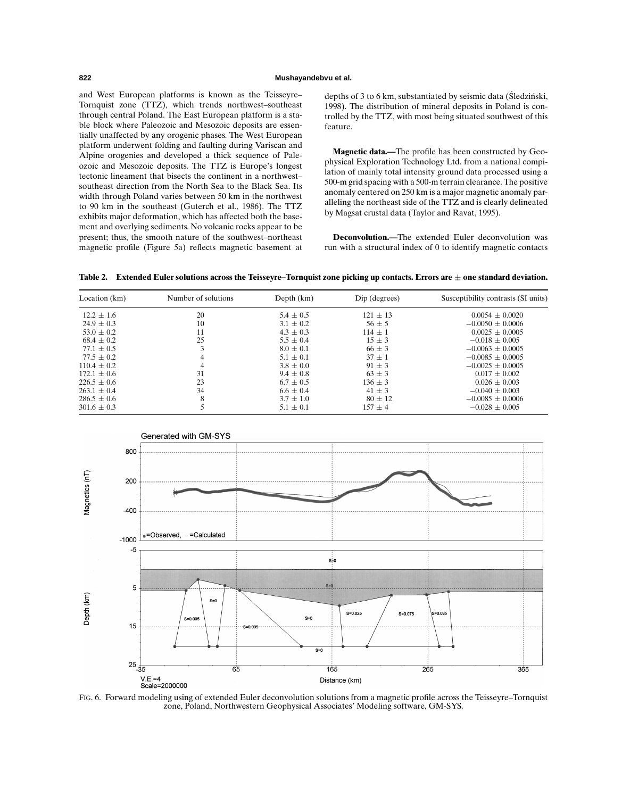## **822 Mushayandebvu et al.**

and West European platforms is known as the Teisseyre– Tornquist zone (TTZ), which trends northwest–southeast through central Poland. The East European platform is a stable block where Paleozoic and Mesozoic deposits are essentially unaffected by any orogenic phases. The West European platform underwent folding and faulting during Variscan and Alpine orogenies and developed a thick sequence of Paleozoic and Mesozoic deposits. The TTZ is Europe's longest tectonic lineament that bisects the continent in a northwest– southeast direction from the North Sea to the Black Sea. Its width through Poland varies between 50 km in the northwest to 90 km in the southeast (Guterch et al., 1986). The TTZ exhibits major deformation, which has affected both the basement and overlying sediments. No volcanic rocks appear to be present; thus, the smooth nature of the southwest–northeast magnetic profile (Figure 5a) reflects magnetic basement at

depths of 3 to 6 km, substantiated by seismic data (Sledziński, 1998). The distribution of mineral deposits in Poland is controlled by the TTZ, with most being situated southwest of this feature.

**Magnetic data.—**The profile has been constructed by Geophysical Exploration Technology Ltd. from a national compilation of mainly total intensity ground data processed using a 500-m grid spacing with a 500-m terrain clearance. The positive anomaly centered on 250 km is a major magnetic anomaly paralleling the northeast side of the TTZ and is clearly delineated by Magsat crustal data (Taylor and Ravat, 1995).

**Deconvolution.—**The extended Euler deconvolution was run with a structural index of 0 to identify magnetic contacts

|  | Table 2. $\:$ Extended Euler solutions across the Teisseyre–Tornquist zone picking up contacts. Errors are $\pm$ one standard deviation. |  |  |  |  |  |  |  |
|--|------------------------------------------------------------------------------------------------------------------------------------------|--|--|--|--|--|--|--|
|--|------------------------------------------------------------------------------------------------------------------------------------------|--|--|--|--|--|--|--|

| Location (km)   | Number of solutions | Depth $(km)$  | Dip (degrees) | Susceptibility contrasts (SI units) |
|-----------------|---------------------|---------------|---------------|-------------------------------------|
| $12.2 \pm 1.6$  | 20                  | $5.4 \pm 0.5$ | $121 \pm 13$  | $0.0054 + 0.0020$                   |
| $24.9 \pm 0.3$  | 10                  | $3.1 \pm 0.2$ | $56 + 5$      | $-0.0050 \pm 0.0006$                |
| $53.0 \pm 0.2$  | 11                  | $4.3 \pm 0.3$ | $114 \pm 1$   | $0.0025 + 0.0005$                   |
| $68.4 \pm 0.2$  | 25                  | $5.5 \pm 0.4$ | $15 \pm 3$    | $-0.018 + 0.005$                    |
| $77.1 \pm 0.5$  |                     | $8.0 \pm 0.1$ | $66 + 3$      | $-0.0063 \pm 0.0005$                |
| $77.5 \pm 0.2$  |                     | $5.1 \pm 0.1$ | $37 + 1$      | $-0.0085 + 0.0005$                  |
| $110.4 \pm 0.2$ |                     | $3.8 \pm 0.0$ | $91 \pm 3$    | $-0.0025 + 0.0005$                  |
| $172.1 \pm 0.6$ | 31                  | $9.4 \pm 0.8$ | $63 \pm 3$    | $0.017 + 0.002$                     |
| $226.5 \pm 0.6$ | 23                  | $6.7 \pm 0.5$ | $136 \pm 3$   | $0.026 \pm 0.003$                   |
| $263.1 \pm 0.4$ | 34                  | $6.6 \pm 0.4$ | $41 \pm 3$    | $-0.040 + 0.003$                    |
| $286.5 \pm 0.6$ | 8                   | $3.7 \pm 1.0$ | $80 + 12$     | $-0.0085 + 0.0006$                  |
| $301.6 \pm 0.3$ |                     | $5.1 \pm 0.1$ | $157 + 4$     | $-0.028 \pm 0.005$                  |



FIG. 6. Forward modeling using of extended Euler deconvolution solutions from a magnetic profile across the Teisseyre–Tornquist zone, Poland, Northwestern Geophysical Associates' Modeling software, GM-SYS.